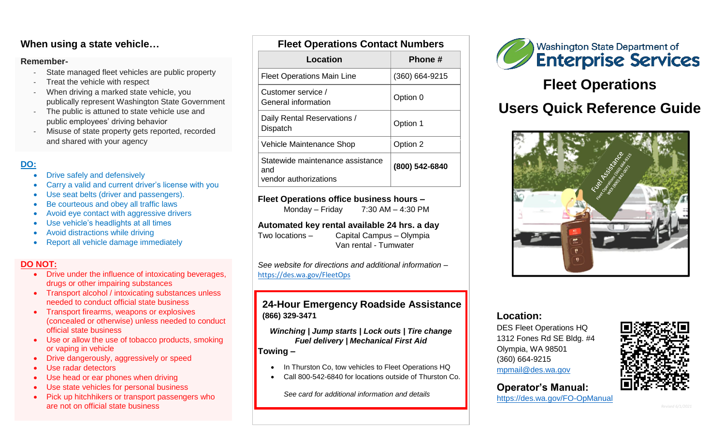## **When using a state vehicle…**

#### **Remember-**

- State managed fleet vehicles are public property
- Treat the vehicle with respect
- When driving a marked state vehicle, you publically represent Washington State Government
- The public is attuned to state vehicle use and public employees' driving behavior
- Misuse of state property gets reported, recorded and shared with your agency

## **DO:**

- Drive safely and defensively
- Carry a valid and current driver's license with you
- Use seat belts (driver and passengers).
- Be courteous and obey all traffic laws
- Avoid eye contact with aggressive drivers
- Use vehicle's headlights at all times
- Avoid distractions while driving
- Report all vehicle damage immediately

#### **DO NOT:**

- Drive under the influence of intoxicating beverages, drugs or other impairing substances
- Transport alcohol / intoxicating substances unless needed to conduct official state business
- Transport firearms, weapons or explosives (concealed or otherwise) unless needed to conduct official state business
- Use or allow the use of tobacco products, smoking or vaping in vehicle
- Drive dangerously, aggressively or speed
- Use radar detectors
- Use head or ear phones when driving
- Use state vehicles for personal business
- Pick up hitchhikers or transport passengers who are not on official state business

| <b>FIGGI OPERATIONS CONTACT NUMBERS</b>                          |                |
|------------------------------------------------------------------|----------------|
| Location                                                         | Phone #        |
| <b>Fleet Operations Main Line</b>                                | (360) 664-9215 |
| Customer service /<br>General information                        | Option 0       |
| Daily Rental Reservations /<br>Dispatch                          | Option 1       |
| Vehicle Maintenance Shop                                         | Option 2       |
| Statewide maintenance assistance<br>and<br>vendor authorizations | (800) 542-6840 |

**Fleet Operations Contact Numbers**

#### **Fleet Operations office business hours –**

Monday – Friday  $7:30$  AM – 4:30 PM

#### **Automated key rental available 24 hrs. a day**

Two locations – Capital Campus – Olympia Van rental - Tumwater

*See website for directions and additional information –* <https://des.wa.gov/FleetOps>

#### **24-Hour Emergency Roadside Assistance (866) 329-3471**

*Winching | Jump starts | Lock outs | Tire change Fuel delivery | Mechanical First Aid*

#### **Towing –**

- In Thurston Co, tow vehicles to Fleet Operations HQ
- Call 800-542-6840 for locations outside of Thurston Co.

*See card for additional information and details*



# **Fleet Operations**

# **Users Quick Reference Guide**



#### **Location:**

DES Fleet Operations HQ 1312 Fones Rd SE Bldg. #4 Olympia, WA 98501 (360) 664-9215 [mpmail@des.wa.gov](mailto:mpmail@des.wa.gov)



## **Operator's Manual:**

<https://des.wa.gov/FO-OpManual>